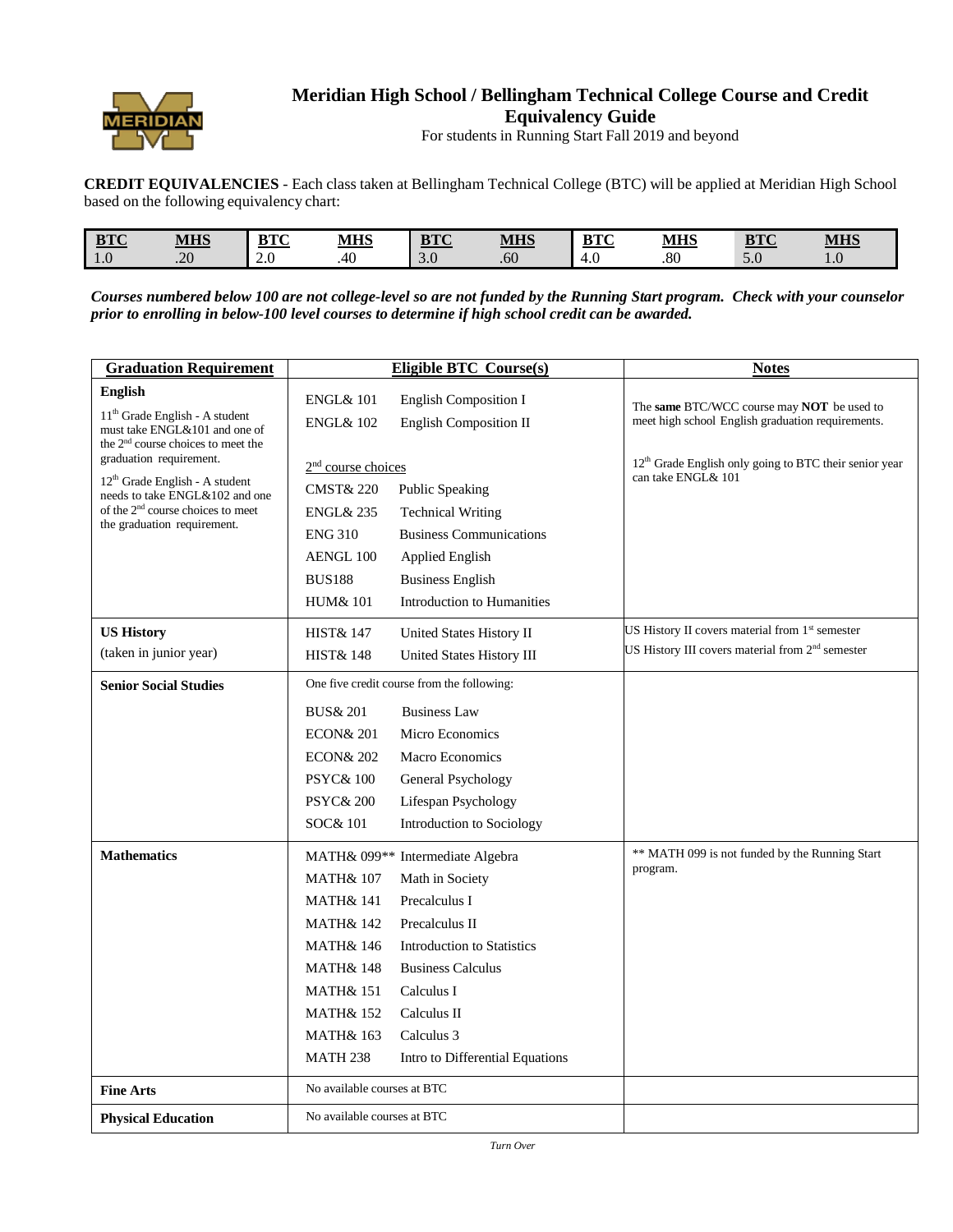

## **Meridian High School / Bellingham Technical College Course and Credit Equivalency Guide**

For students in Running Start Fall 2019 and beyond

**CREDIT EQUIVALENCIES** - Each class taken at Bellingham Technical College (BTC) will be applied at Meridian High School based on the following equivalency chart:

| $n \pi \alpha$<br>$\underline{\text{pr}}$ | <b>MHS</b> | $\mathbf{n} \mathbf{m} \alpha$<br>' 1 J | <u>MHS</u> | $n \pi \alpha$<br><u>vic</u> | <b>MHS</b> | $n_{\rm I}$<br>ּטנע | MITC<br>MH. | DTC<br>$PLC$ | <b>MHS</b> |
|-------------------------------------------|------------|-----------------------------------------|------------|------------------------------|------------|---------------------|-------------|--------------|------------|
| $\sim$<br>1.0                             | 20<br>.∠U  | $\sim$ $\sim$<br>$\mathcal{L}$ .U       | 40         | $\Omega$<br>3.0              | .60        | $\sim$<br>т.∪       | .80         | 5.0          | IJ.        |

Courses numbered below 100 are not college-level so are not funded by the Running Start program. Check with your counselor *prior to enrolling in below-100 level courses to determine if high school credit can be awarded.*

| <b>Graduation Requirement</b>                                                                                       |                                            | <b>Eligible BTC Course(s)</b>                | <b>Notes</b>                                                                                    |
|---------------------------------------------------------------------------------------------------------------------|--------------------------------------------|----------------------------------------------|-------------------------------------------------------------------------------------------------|
| <b>English</b>                                                                                                      | <b>ENGL&amp; 101</b>                       | <b>English Composition I</b>                 |                                                                                                 |
| $11th$ Grade English - A student<br>must take ENGL&101 and one of<br>the 2 <sup>nd</sup> course choices to meet the | <b>ENGL&amp; 102</b>                       | English Composition II                       | The same BTC/WCC course may NOT be used to<br>meet high school English graduation requirements. |
| graduation requirement.                                                                                             | 2 <sup>nd</sup> course choices             |                                              | 12 <sup>th</sup> Grade English only going to BTC their senior year                              |
| $12th$ Grade English - A student<br>needs to take ENGL&102 and one                                                  | <b>CMST&amp; 220</b>                       | Public Speaking                              | can take ENGL& 101                                                                              |
| of the 2 <sup>nd</sup> course choices to meet                                                                       | <b>ENGL&amp; 235</b>                       | <b>Technical Writing</b>                     |                                                                                                 |
| the graduation requirement.                                                                                         | <b>ENG 310</b>                             | <b>Business Communications</b>               |                                                                                                 |
|                                                                                                                     | AENGL 100                                  | Applied English                              |                                                                                                 |
|                                                                                                                     | <b>BUS188</b>                              | <b>Business English</b>                      |                                                                                                 |
|                                                                                                                     | <b>HUM&amp; 101</b>                        | Introduction to Humanities                   |                                                                                                 |
| <b>US History</b>                                                                                                   | <b>HIST&amp; 147</b>                       | United States History II                     | US History II covers material from 1 <sup>st</sup> semester                                     |
| (taken in junior year)                                                                                              | <b>HIST&amp; 148</b>                       | United States History III                    | US History III covers material from 2 <sup>nd</sup> semester                                    |
| <b>Senior Social Studies</b>                                                                                        | One five credit course from the following: |                                              |                                                                                                 |
|                                                                                                                     | <b>BUS&amp; 201</b>                        | <b>Business Law</b>                          |                                                                                                 |
|                                                                                                                     | <b>ECON&amp; 201</b>                       | Micro Economics                              |                                                                                                 |
|                                                                                                                     | <b>ECON&amp; 202</b>                       | <b>Macro Economics</b>                       |                                                                                                 |
|                                                                                                                     | <b>PSYC&amp; 100</b>                       | General Psychology                           |                                                                                                 |
|                                                                                                                     | <b>PSYC&amp; 200</b>                       | Lifespan Psychology                          |                                                                                                 |
|                                                                                                                     | SOC& 101                                   | Introduction to Sociology                    |                                                                                                 |
| <b>Mathematics</b>                                                                                                  |                                            | MATH& 099 <sup>**</sup> Intermediate Algebra | ** MATH 099 is not funded by the Running Start                                                  |
|                                                                                                                     | <b>MATH&amp; 107</b>                       | Math in Society                              | program.                                                                                        |
|                                                                                                                     | <b>MATH&amp; 141</b>                       | Precalculus I                                |                                                                                                 |
|                                                                                                                     | <b>MATH&amp; 142</b>                       | Precalculus II                               |                                                                                                 |
|                                                                                                                     | <b>MATH&amp; 146</b>                       | <b>Introduction to Statistics</b>            |                                                                                                 |
|                                                                                                                     | <b>MATH&amp; 148</b>                       | <b>Business Calculus</b>                     |                                                                                                 |
|                                                                                                                     | <b>MATH&amp; 151</b>                       | Calculus I                                   |                                                                                                 |
|                                                                                                                     | <b>MATH&amp; 152</b>                       | Calculus II                                  |                                                                                                 |
|                                                                                                                     | <b>MATH&amp; 163</b>                       | Calculus 3                                   |                                                                                                 |
|                                                                                                                     | <b>MATH 238</b>                            | Intro to Differential Equations              |                                                                                                 |
| <b>Fine Arts</b>                                                                                                    | No available courses at BTC                |                                              |                                                                                                 |
| <b>Physical Education</b>                                                                                           | No available courses at BTC                |                                              |                                                                                                 |